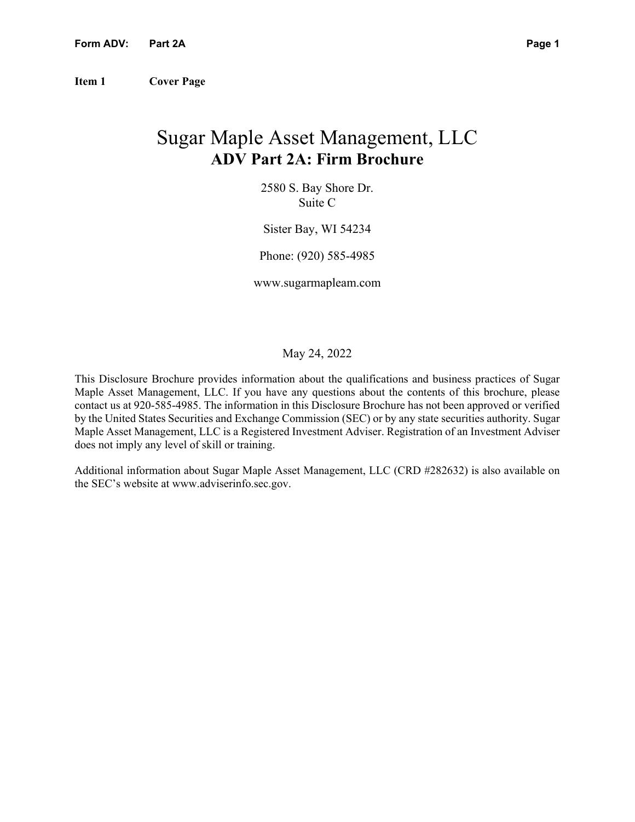**Item 1 Cover Page** 

# Sugar Maple Asset Management, LLC **ADV Part 2A: Firm Brochure**

2580 S. Bay Shore Dr. Suite C

Sister Bay, WI 54234

Phone: (920) 585-4985

www.sugarmapleam.com

### May 24, 2022

This Disclosure Brochure provides information about the qualifications and business practices of Sugar Maple Asset Management, LLC. If you have any questions about the contents of this brochure, please contact us at 920-585-4985. The information in this Disclosure Brochure has not been approved or verified by the United States Securities and Exchange Commission (SEC) or by any state securities authority. Sugar Maple Asset Management, LLC is a Registered Investment Adviser. Registration of an Investment Adviser does not imply any level of skill or training.

Additional information about Sugar Maple Asset Management, LLC (CRD #282632) is also available on the SEC's website at www.adviserinfo.sec.gov.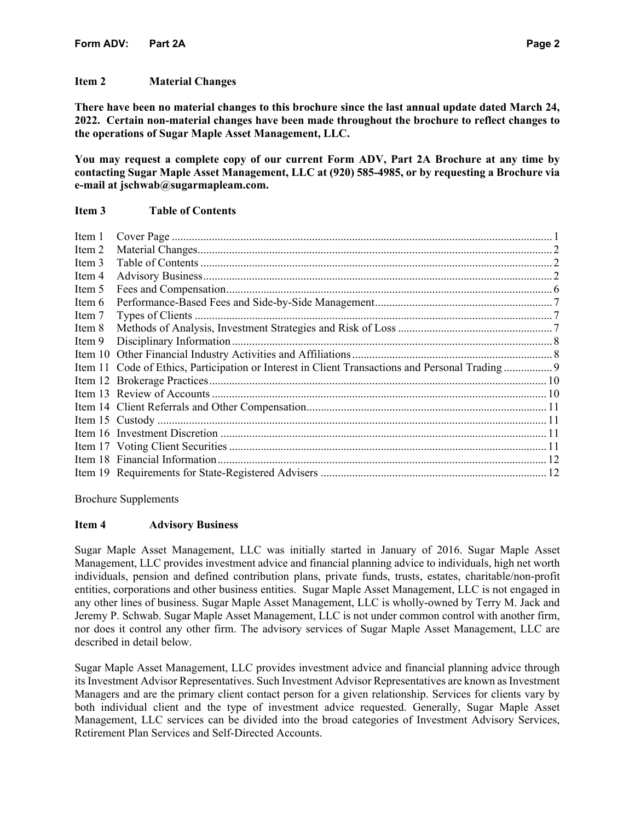### **Item 2 Material Changes**

**There have been no material changes to this brochure since the last annual update dated March 24, 2022. Certain non-material changes have been made throughout the brochure to reflect changes to the operations of Sugar Maple Asset Management, LLC.** 

**You may request a complete copy of our current Form ADV, Part 2A Brochure at any time by contacting Sugar Maple Asset Management, LLC at (920) 585-4985, or by requesting a Brochure via e-mail at jschwab@sugarmapleam.com.**

# **Item 3 Table of Contents**

| Item 1 |  |
|--------|--|
| Item 2 |  |
| Item 3 |  |
| Item 4 |  |
| Item 5 |  |
| Item 6 |  |
| Item 7 |  |
| Item 8 |  |
| Item 9 |  |
|        |  |
|        |  |
|        |  |
|        |  |
|        |  |
|        |  |
|        |  |
|        |  |
|        |  |
|        |  |

Brochure Supplements

### **Item 4 Advisory Business**

Sugar Maple Asset Management, LLC was initially started in January of 2016. Sugar Maple Asset Management, LLC provides investment advice and financial planning advice to individuals, high net worth individuals, pension and defined contribution plans, private funds, trusts, estates, charitable/non-profit entities, corporations and other business entities. Sugar Maple Asset Management, LLC is not engaged in any other lines of business. Sugar Maple Asset Management, LLC is wholly-owned by Terry M. Jack and Jeremy P. Schwab. Sugar Maple Asset Management, LLC is not under common control with another firm, nor does it control any other firm. The advisory services of Sugar Maple Asset Management, LLC are described in detail below.

Sugar Maple Asset Management, LLC provides investment advice and financial planning advice through its Investment Advisor Representatives. Such Investment Advisor Representatives are known as Investment Managers and are the primary client contact person for a given relationship. Services for clients vary by both individual client and the type of investment advice requested. Generally, Sugar Maple Asset Management, LLC services can be divided into the broad categories of Investment Advisory Services, Retirement Plan Services and Self-Directed Accounts.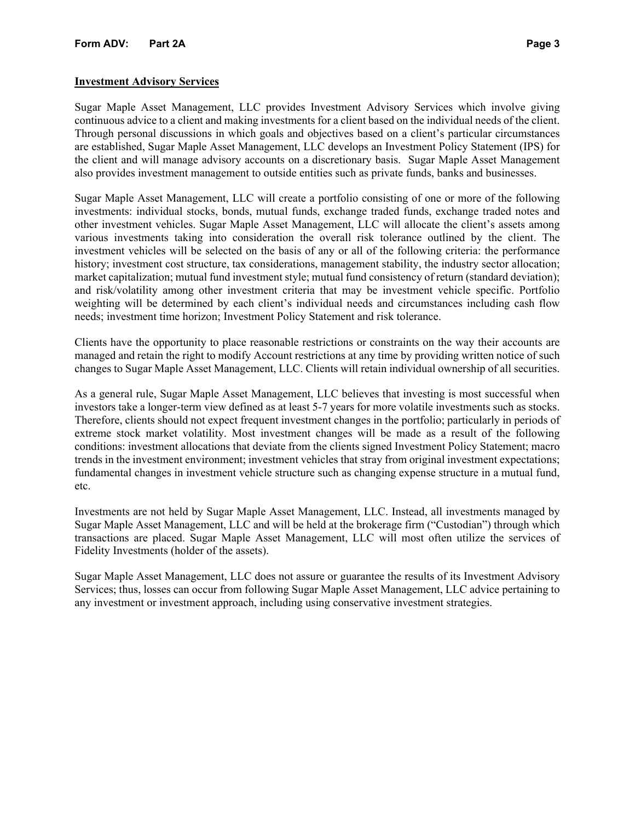### **Investment Advisory Services**

Sugar Maple Asset Management, LLC provides Investment Advisory Services which involve giving continuous advice to a client and making investments for a client based on the individual needs of the client. Through personal discussions in which goals and objectives based on a client's particular circumstances are established, Sugar Maple Asset Management, LLC develops an Investment Policy Statement (IPS) for the client and will manage advisory accounts on a discretionary basis. Sugar Maple Asset Management also provides investment management to outside entities such as private funds, banks and businesses.

Sugar Maple Asset Management, LLC will create a portfolio consisting of one or more of the following investments: individual stocks, bonds, mutual funds, exchange traded funds, exchange traded notes and other investment vehicles. Sugar Maple Asset Management, LLC will allocate the client's assets among various investments taking into consideration the overall risk tolerance outlined by the client. The investment vehicles will be selected on the basis of any or all of the following criteria: the performance history; investment cost structure, tax considerations, management stability, the industry sector allocation; market capitalization; mutual fund investment style; mutual fund consistency of return (standard deviation); and risk/volatility among other investment criteria that may be investment vehicle specific. Portfolio weighting will be determined by each client's individual needs and circumstances including cash flow needs; investment time horizon; Investment Policy Statement and risk tolerance.

Clients have the opportunity to place reasonable restrictions or constraints on the way their accounts are managed and retain the right to modify Account restrictions at any time by providing written notice of such changes to Sugar Maple Asset Management, LLC. Clients will retain individual ownership of all securities.

As a general rule, Sugar Maple Asset Management, LLC believes that investing is most successful when investors take a longer-term view defined as at least 5-7 years for more volatile investments such as stocks. Therefore, clients should not expect frequent investment changes in the portfolio; particularly in periods of extreme stock market volatility. Most investment changes will be made as a result of the following conditions: investment allocations that deviate from the clients signed Investment Policy Statement; macro trends in the investment environment; investment vehicles that stray from original investment expectations; fundamental changes in investment vehicle structure such as changing expense structure in a mutual fund, etc.

Investments are not held by Sugar Maple Asset Management, LLC. Instead, all investments managed by Sugar Maple Asset Management, LLC and will be held at the brokerage firm ("Custodian") through which transactions are placed. Sugar Maple Asset Management, LLC will most often utilize the services of Fidelity Investments (holder of the assets).

Sugar Maple Asset Management, LLC does not assure or guarantee the results of its Investment Advisory Services; thus, losses can occur from following Sugar Maple Asset Management, LLC advice pertaining to any investment or investment approach, including using conservative investment strategies.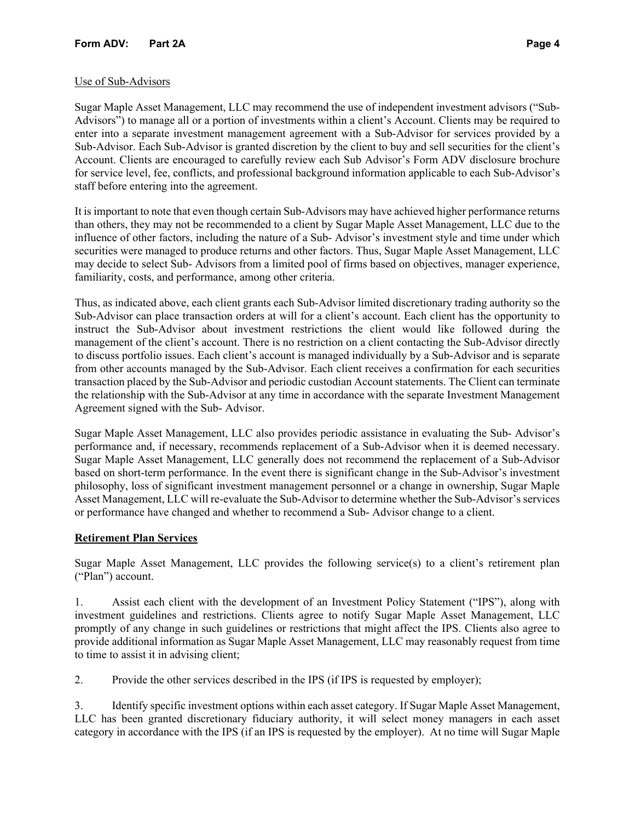# Use of Sub-Advisors

Sugar Maple Asset Management, LLC may recommend the use of independent investment advisors ("Sub-Advisors") to manage all or a portion of investments within a client's Account. Clients may be required to enter into a separate investment management agreement with a Sub-Advisor for services provided by a Sub-Advisor. Each Sub-Advisor is granted discretion by the client to buy and sell securities for the client's Account. Clients are encouraged to carefully review each Sub Advisor's Form ADV disclosure brochure for service level, fee, conflicts, and professional background information applicable to each Sub-Advisor's staff before entering into the agreement.

It is important to note that even though certain Sub-Advisors may have achieved higher performance returns than others, they may not be recommended to a client by Sugar Maple Asset Management, LLC due to the influence of other factors, including the nature of a Sub- Advisor's investment style and time under which securities were managed to produce returns and other factors. Thus, Sugar Maple Asset Management, LLC may decide to select Sub- Advisors from a limited pool of firms based on objectives, manager experience, familiarity, costs, and performance, among other criteria.

Thus, as indicated above, each client grants each Sub-Advisor limited discretionary trading authority so the Sub-Advisor can place transaction orders at will for a client's account. Each client has the opportunity to instruct the Sub-Advisor about investment restrictions the client would like followed during the management of the client's account. There is no restriction on a client contacting the Sub-Advisor directly to discuss portfolio issues. Each client's account is managed individually by a Sub-Advisor and is separate from other accounts managed by the Sub-Advisor. Each client receives a confirmation for each securities transaction placed by the Sub-Advisor and periodic custodian Account statements. The Client can terminate the relationship with the Sub-Advisor at any time in accordance with the separate Investment Management Agreement signed with the Sub- Advisor.

Sugar Maple Asset Management, LLC also provides periodic assistance in evaluating the Sub- Advisor's performance and, if necessary, recommends replacement of a Sub-Advisor when it is deemed necessary. Sugar Maple Asset Management, LLC generally does not recommend the replacement of a Sub-Advisor based on short-term performance. In the event there is significant change in the Sub-Advisor's investment philosophy, loss of significant investment management personnel or a change in ownership, Sugar Maple Asset Management, LLC will re-evaluate the Sub-Advisor to determine whether the Sub-Advisor's services or performance have changed and whether to recommend a Sub- Advisor change to a client.

# **Retirement Plan Services**

Sugar Maple Asset Management, LLC provides the following service(s) to a client's retirement plan ("Plan") account.

1. Assist each client with the development of an Investment Policy Statement ("IPS"), along with investment guidelines and restrictions. Clients agree to notify Sugar Maple Asset Management, LLC promptly of any change in such guidelines or restrictions that might affect the IPS. Clients also agree to provide additional information as Sugar Maple Asset Management, LLC may reasonably request from time to time to assist it in advising client;

2. Provide the other services described in the IPS (if IPS is requested by employer);

3. Identify specific investment options within each asset category. If Sugar Maple Asset Management, LLC has been granted discretionary fiduciary authority, it will select money managers in each asset category in accordance with the IPS (if an IPS is requested by the employer). At no time will Sugar Maple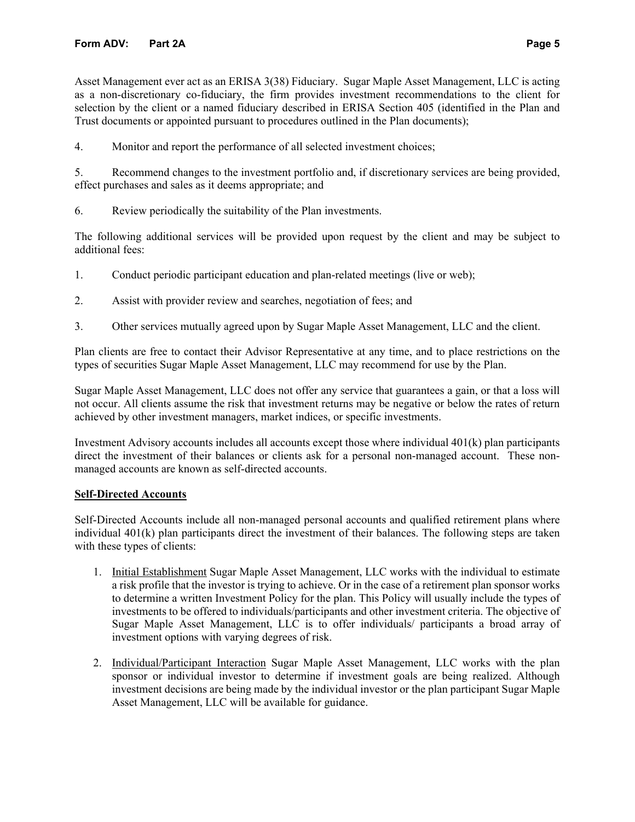Asset Management ever act as an ERISA 3(38) Fiduciary. Sugar Maple Asset Management, LLC is acting as a non-discretionary co-fiduciary, the firm provides investment recommendations to the client for selection by the client or a named fiduciary described in ERISA Section 405 (identified in the Plan and Trust documents or appointed pursuant to procedures outlined in the Plan documents);

4. Monitor and report the performance of all selected investment choices;

5. Recommend changes to the investment portfolio and, if discretionary services are being provided, effect purchases and sales as it deems appropriate; and

6. Review periodically the suitability of the Plan investments.

The following additional services will be provided upon request by the client and may be subject to additional fees:

- 1. Conduct periodic participant education and plan-related meetings (live or web);
- 2. Assist with provider review and searches, negotiation of fees; and
- 3. Other services mutually agreed upon by Sugar Maple Asset Management, LLC and the client.

Plan clients are free to contact their Advisor Representative at any time, and to place restrictions on the types of securities Sugar Maple Asset Management, LLC may recommend for use by the Plan.

Sugar Maple Asset Management, LLC does not offer any service that guarantees a gain, or that a loss will not occur. All clients assume the risk that investment returns may be negative or below the rates of return achieved by other investment managers, market indices, or specific investments.

Investment Advisory accounts includes all accounts except those where individual 401(k) plan participants direct the investment of their balances or clients ask for a personal non-managed account. These nonmanaged accounts are known as self-directed accounts.

### **Self-Directed Accounts**

Self-Directed Accounts include all non-managed personal accounts and qualified retirement plans where individual 401(k) plan participants direct the investment of their balances. The following steps are taken with these types of clients:

- 1. Initial Establishment Sugar Maple Asset Management, LLC works with the individual to estimate a risk profile that the investor is trying to achieve. Or in the case of a retirement plan sponsor works to determine a written Investment Policy for the plan. This Policy will usually include the types of investments to be offered to individuals/participants and other investment criteria. The objective of Sugar Maple Asset Management, LLC is to offer individuals/ participants a broad array of investment options with varying degrees of risk.
- 2. Individual/Participant Interaction Sugar Maple Asset Management, LLC works with the plan sponsor or individual investor to determine if investment goals are being realized. Although investment decisions are being made by the individual investor or the plan participant Sugar Maple Asset Management, LLC will be available for guidance.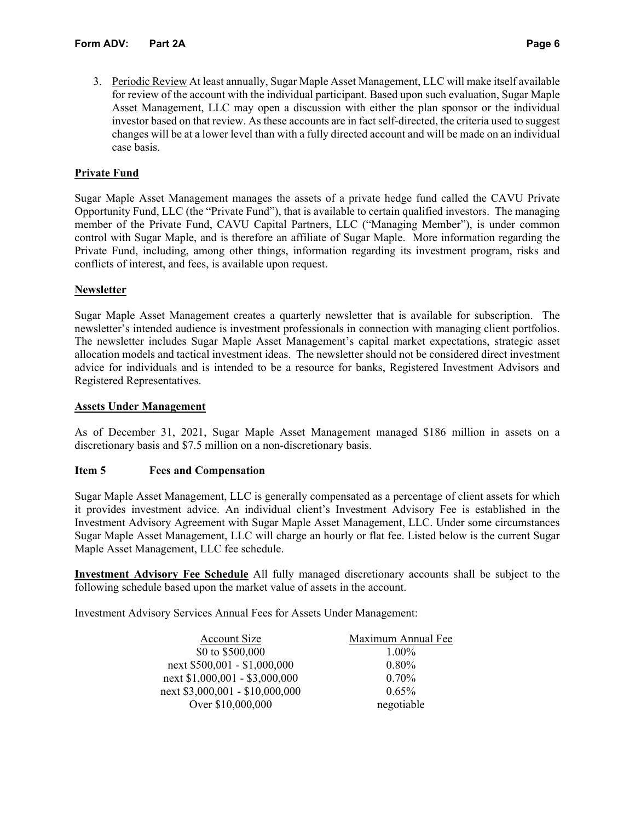3. Periodic Review At least annually, Sugar Maple Asset Management, LLC will make itself available for review of the account with the individual participant. Based upon such evaluation, Sugar Maple Asset Management, LLC may open a discussion with either the plan sponsor or the individual investor based on that review. As these accounts are in fact self-directed, the criteria used to suggest changes will be at a lower level than with a fully directed account and will be made on an individual case basis.

# **Private Fund**

Sugar Maple Asset Management manages the assets of a private hedge fund called the CAVU Private Opportunity Fund, LLC (the "Private Fund"), that is available to certain qualified investors. The managing member of the Private Fund, CAVU Capital Partners, LLC ("Managing Member"), is under common control with Sugar Maple, and is therefore an affiliate of Sugar Maple. More information regarding the Private Fund, including, among other things, information regarding its investment program, risks and conflicts of interest, and fees, is available upon request.

### **Newsletter**

Sugar Maple Asset Management creates a quarterly newsletter that is available for subscription. The newsletter's intended audience is investment professionals in connection with managing client portfolios. The newsletter includes Sugar Maple Asset Management's capital market expectations, strategic asset allocation models and tactical investment ideas. The newsletter should not be considered direct investment advice for individuals and is intended to be a resource for banks, Registered Investment Advisors and Registered Representatives.

### **Assets Under Management**

As of December 31, 2021, Sugar Maple Asset Management managed \$186 million in assets on a discretionary basis and \$7.5 million on a non-discretionary basis.

### **Item 5 Fees and Compensation**

Sugar Maple Asset Management, LLC is generally compensated as a percentage of client assets for which it provides investment advice. An individual client's Investment Advisory Fee is established in the Investment Advisory Agreement with Sugar Maple Asset Management, LLC. Under some circumstances Sugar Maple Asset Management, LLC will charge an hourly or flat fee. Listed below is the current Sugar Maple Asset Management, LLC fee schedule.

**Investment Advisory Fee Schedule** All fully managed discretionary accounts shall be subject to the following schedule based upon the market value of assets in the account.

Investment Advisory Services Annual Fees for Assets Under Management:

| <b>Account Size</b>             | Maximum Annual Fee |
|---------------------------------|--------------------|
| \$0 to \$500,000                | 1.00%              |
| next \$500,001 - \$1,000,000    | 0.80%              |
| next \$1,000,001 - \$3,000,000  | $0.70\%$           |
| next \$3,000,001 - \$10,000,000 | 0.65%              |
| Over \$10,000,000               | negotiable         |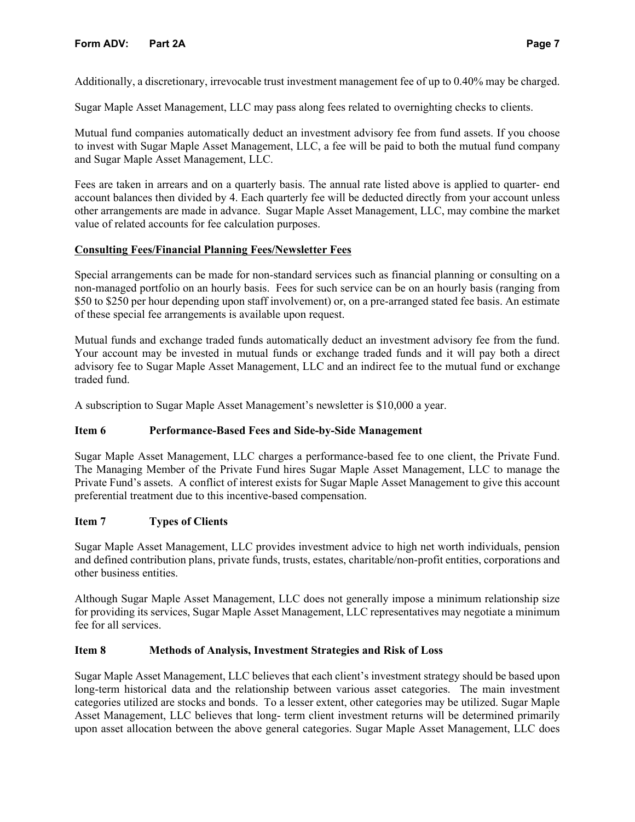# **Form ADV: Part 2A Page 7**

Additionally, a discretionary, irrevocable trust investment management fee of up to 0.40% may be charged.

Sugar Maple Asset Management, LLC may pass along fees related to overnighting checks to clients.

Mutual fund companies automatically deduct an investment advisory fee from fund assets. If you choose to invest with Sugar Maple Asset Management, LLC, a fee will be paid to both the mutual fund company and Sugar Maple Asset Management, LLC.

Fees are taken in arrears and on a quarterly basis. The annual rate listed above is applied to quarter- end account balances then divided by 4. Each quarterly fee will be deducted directly from your account unless other arrangements are made in advance. Sugar Maple Asset Management, LLC, may combine the market value of related accounts for fee calculation purposes.

### **Consulting Fees/Financial Planning Fees/Newsletter Fees**

Special arrangements can be made for non-standard services such as financial planning or consulting on a non-managed portfolio on an hourly basis. Fees for such service can be on an hourly basis (ranging from \$50 to \$250 per hour depending upon staff involvement) or, on a pre-arranged stated fee basis. An estimate of these special fee arrangements is available upon request.

Mutual funds and exchange traded funds automatically deduct an investment advisory fee from the fund. Your account may be invested in mutual funds or exchange traded funds and it will pay both a direct advisory fee to Sugar Maple Asset Management, LLC and an indirect fee to the mutual fund or exchange traded fund.

A subscription to Sugar Maple Asset Management's newsletter is \$10,000 a year.

### **Item 6 Performance-Based Fees and Side-by-Side Management**

Sugar Maple Asset Management, LLC charges a performance-based fee to one client, the Private Fund. The Managing Member of the Private Fund hires Sugar Maple Asset Management, LLC to manage the Private Fund's assets. A conflict of interest exists for Sugar Maple Asset Management to give this account preferential treatment due to this incentive-based compensation.

### **Item 7 Types of Clients**

Sugar Maple Asset Management, LLC provides investment advice to high net worth individuals, pension and defined contribution plans, private funds, trusts, estates, charitable/non-profit entities, corporations and other business entities.

Although Sugar Maple Asset Management, LLC does not generally impose a minimum relationship size for providing its services, Sugar Maple Asset Management, LLC representatives may negotiate a minimum fee for all services.

### **Item 8 Methods of Analysis, Investment Strategies and Risk of Loss**

Sugar Maple Asset Management, LLC believes that each client's investment strategy should be based upon long-term historical data and the relationship between various asset categories. The main investment categories utilized are stocks and bonds. To a lesser extent, other categories may be utilized. Sugar Maple Asset Management, LLC believes that long- term client investment returns will be determined primarily upon asset allocation between the above general categories. Sugar Maple Asset Management, LLC does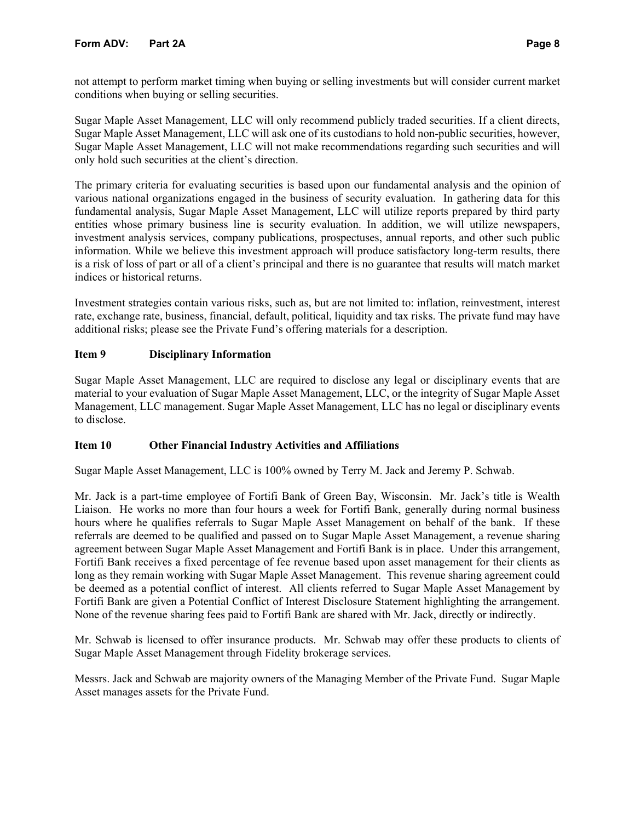# **Form ADV: Part 2A Page 8**

not attempt to perform market timing when buying or selling investments but will consider current market conditions when buying or selling securities.

Sugar Maple Asset Management, LLC will only recommend publicly traded securities. If a client directs, Sugar Maple Asset Management, LLC will ask one of its custodians to hold non-public securities, however, Sugar Maple Asset Management, LLC will not make recommendations regarding such securities and will only hold such securities at the client's direction.

The primary criteria for evaluating securities is based upon our fundamental analysis and the opinion of various national organizations engaged in the business of security evaluation. In gathering data for this fundamental analysis, Sugar Maple Asset Management, LLC will utilize reports prepared by third party entities whose primary business line is security evaluation. In addition, we will utilize newspapers, investment analysis services, company publications, prospectuses, annual reports, and other such public information. While we believe this investment approach will produce satisfactory long-term results, there is a risk of loss of part or all of a client's principal and there is no guarantee that results will match market indices or historical returns.

Investment strategies contain various risks, such as, but are not limited to: inflation, reinvestment, interest rate, exchange rate, business, financial, default, political, liquidity and tax risks. The private fund may have additional risks; please see the Private Fund's offering materials for a description.

# **Item 9 Disciplinary Information**

Sugar Maple Asset Management, LLC are required to disclose any legal or disciplinary events that are material to your evaluation of Sugar Maple Asset Management, LLC, or the integrity of Sugar Maple Asset Management, LLC management. Sugar Maple Asset Management, LLC has no legal or disciplinary events to disclose.

# **Item 10 Other Financial Industry Activities and Affiliations**

Sugar Maple Asset Management, LLC is 100% owned by Terry M. Jack and Jeremy P. Schwab.

Mr. Jack is a part-time employee of Fortifi Bank of Green Bay, Wisconsin. Mr. Jack's title is Wealth Liaison. He works no more than four hours a week for Fortifi Bank, generally during normal business hours where he qualifies referrals to Sugar Maple Asset Management on behalf of the bank. If these referrals are deemed to be qualified and passed on to Sugar Maple Asset Management, a revenue sharing agreement between Sugar Maple Asset Management and Fortifi Bank is in place. Under this arrangement, Fortifi Bank receives a fixed percentage of fee revenue based upon asset management for their clients as long as they remain working with Sugar Maple Asset Management. This revenue sharing agreement could be deemed as a potential conflict of interest. All clients referred to Sugar Maple Asset Management by Fortifi Bank are given a Potential Conflict of Interest Disclosure Statement highlighting the arrangement. None of the revenue sharing fees paid to Fortifi Bank are shared with Mr. Jack, directly or indirectly.

Mr. Schwab is licensed to offer insurance products. Mr. Schwab may offer these products to clients of Sugar Maple Asset Management through Fidelity brokerage services.

Messrs. Jack and Schwab are majority owners of the Managing Member of the Private Fund. Sugar Maple Asset manages assets for the Private Fund.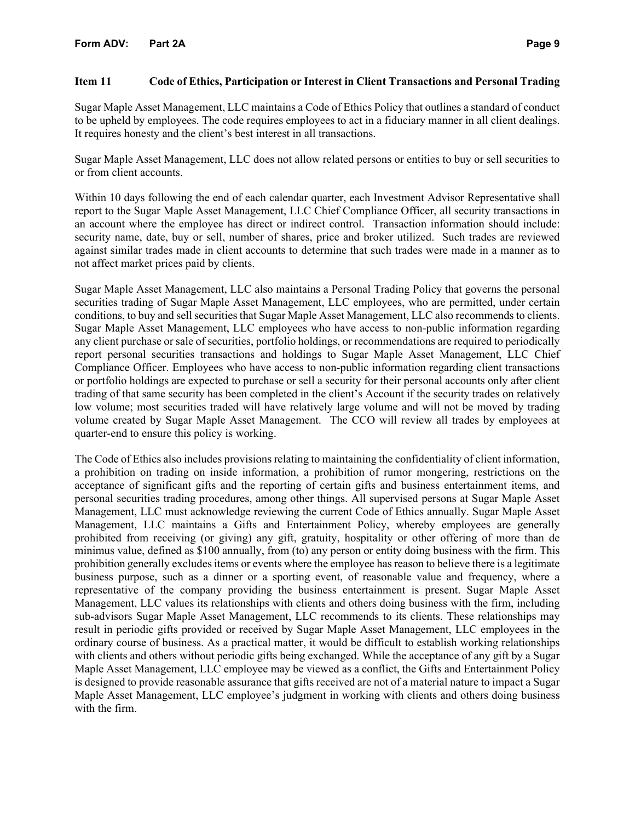### **Item 11 Code of Ethics, Participation or Interest in Client Transactions and Personal Trading**

Sugar Maple Asset Management, LLC maintains a Code of Ethics Policy that outlines a standard of conduct to be upheld by employees. The code requires employees to act in a fiduciary manner in all client dealings. It requires honesty and the client's best interest in all transactions.

Sugar Maple Asset Management, LLC does not allow related persons or entities to buy or sell securities to or from client accounts.

Within 10 days following the end of each calendar quarter, each Investment Advisor Representative shall report to the Sugar Maple Asset Management, LLC Chief Compliance Officer, all security transactions in an account where the employee has direct or indirect control. Transaction information should include: security name, date, buy or sell, number of shares, price and broker utilized. Such trades are reviewed against similar trades made in client accounts to determine that such trades were made in a manner as to not affect market prices paid by clients.

Sugar Maple Asset Management, LLC also maintains a Personal Trading Policy that governs the personal securities trading of Sugar Maple Asset Management, LLC employees, who are permitted, under certain conditions, to buy and sell securities that Sugar Maple Asset Management, LLC also recommends to clients. Sugar Maple Asset Management, LLC employees who have access to non-public information regarding any client purchase or sale of securities, portfolio holdings, or recommendations are required to periodically report personal securities transactions and holdings to Sugar Maple Asset Management, LLC Chief Compliance Officer. Employees who have access to non-public information regarding client transactions or portfolio holdings are expected to purchase or sell a security for their personal accounts only after client trading of that same security has been completed in the client's Account if the security trades on relatively low volume; most securities traded will have relatively large volume and will not be moved by trading volume created by Sugar Maple Asset Management. The CCO will review all trades by employees at quarter-end to ensure this policy is working.

The Code of Ethics also includes provisions relating to maintaining the confidentiality of client information, a prohibition on trading on inside information, a prohibition of rumor mongering, restrictions on the acceptance of significant gifts and the reporting of certain gifts and business entertainment items, and personal securities trading procedures, among other things. All supervised persons at Sugar Maple Asset Management, LLC must acknowledge reviewing the current Code of Ethics annually. Sugar Maple Asset Management, LLC maintains a Gifts and Entertainment Policy, whereby employees are generally prohibited from receiving (or giving) any gift, gratuity, hospitality or other offering of more than de minimus value, defined as \$100 annually, from (to) any person or entity doing business with the firm. This prohibition generally excludes items or events where the employee has reason to believe there is a legitimate business purpose, such as a dinner or a sporting event, of reasonable value and frequency, where a representative of the company providing the business entertainment is present. Sugar Maple Asset Management, LLC values its relationships with clients and others doing business with the firm, including sub-advisors Sugar Maple Asset Management, LLC recommends to its clients. These relationships may result in periodic gifts provided or received by Sugar Maple Asset Management, LLC employees in the ordinary course of business. As a practical matter, it would be difficult to establish working relationships with clients and others without periodic gifts being exchanged. While the acceptance of any gift by a Sugar Maple Asset Management, LLC employee may be viewed as a conflict, the Gifts and Entertainment Policy is designed to provide reasonable assurance that gifts received are not of a material nature to impact a Sugar Maple Asset Management, LLC employee's judgment in working with clients and others doing business with the firm.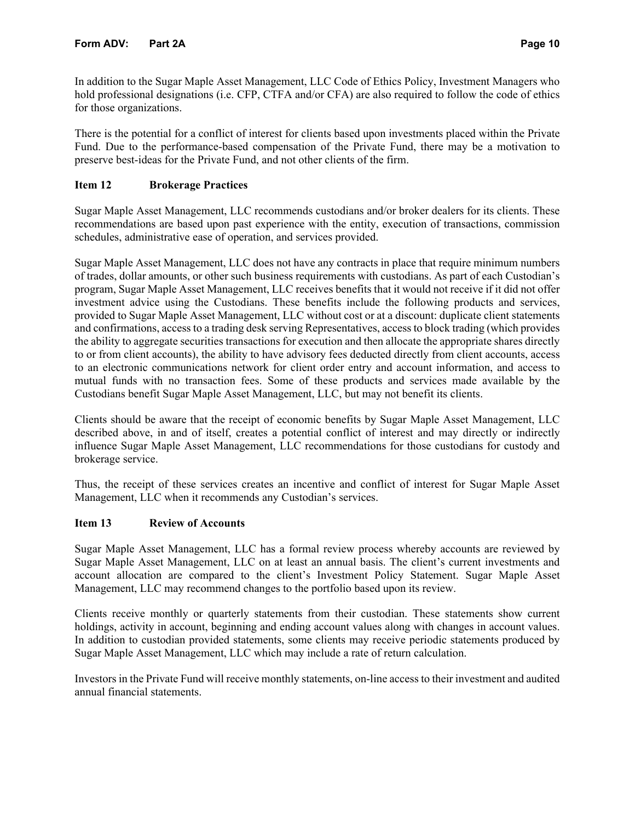In addition to the Sugar Maple Asset Management, LLC Code of Ethics Policy, Investment Managers who hold professional designations (i.e. CFP, CTFA and/or CFA) are also required to follow the code of ethics for those organizations.

There is the potential for a conflict of interest for clients based upon investments placed within the Private Fund. Due to the performance-based compensation of the Private Fund, there may be a motivation to preserve best-ideas for the Private Fund, and not other clients of the firm.

# **Item 12 Brokerage Practices**

Sugar Maple Asset Management, LLC recommends custodians and/or broker dealers for its clients. These recommendations are based upon past experience with the entity, execution of transactions, commission schedules, administrative ease of operation, and services provided.

Sugar Maple Asset Management, LLC does not have any contracts in place that require minimum numbers of trades, dollar amounts, or other such business requirements with custodians. As part of each Custodian's program, Sugar Maple Asset Management, LLC receives benefits that it would not receive if it did not offer investment advice using the Custodians. These benefits include the following products and services, provided to Sugar Maple Asset Management, LLC without cost or at a discount: duplicate client statements and confirmations, access to a trading desk serving Representatives, access to block trading (which provides the ability to aggregate securities transactions for execution and then allocate the appropriate shares directly to or from client accounts), the ability to have advisory fees deducted directly from client accounts, access to an electronic communications network for client order entry and account information, and access to mutual funds with no transaction fees. Some of these products and services made available by the Custodians benefit Sugar Maple Asset Management, LLC, but may not benefit its clients.

Clients should be aware that the receipt of economic benefits by Sugar Maple Asset Management, LLC described above, in and of itself, creates a potential conflict of interest and may directly or indirectly influence Sugar Maple Asset Management, LLC recommendations for those custodians for custody and brokerage service.

Thus, the receipt of these services creates an incentive and conflict of interest for Sugar Maple Asset Management, LLC when it recommends any Custodian's services.

# **Item 13 Review of Accounts**

Sugar Maple Asset Management, LLC has a formal review process whereby accounts are reviewed by Sugar Maple Asset Management, LLC on at least an annual basis. The client's current investments and account allocation are compared to the client's Investment Policy Statement. Sugar Maple Asset Management, LLC may recommend changes to the portfolio based upon its review.

Clients receive monthly or quarterly statements from their custodian. These statements show current holdings, activity in account, beginning and ending account values along with changes in account values. In addition to custodian provided statements, some clients may receive periodic statements produced by Sugar Maple Asset Management, LLC which may include a rate of return calculation.

Investors in the Private Fund will receive monthly statements, on-line access to their investment and audited annual financial statements.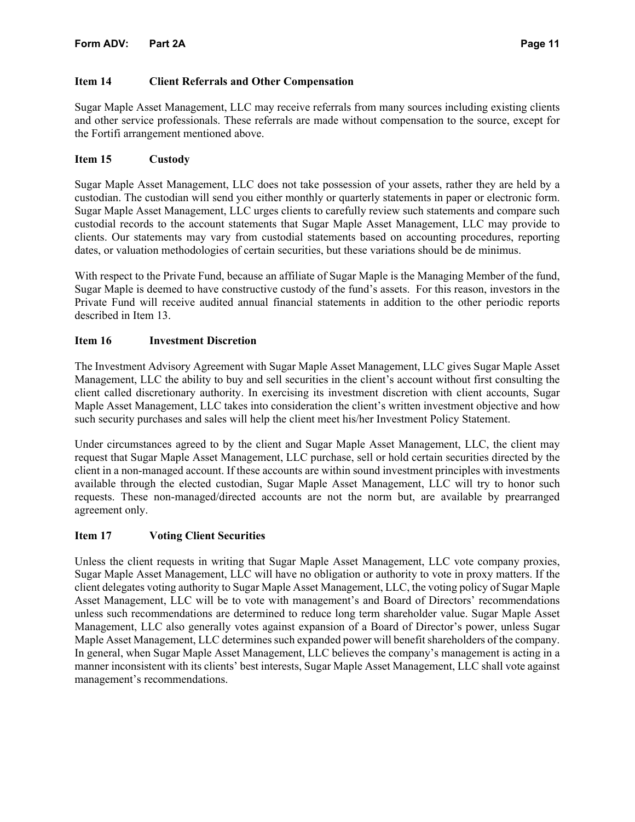# **Item 14 Client Referrals and Other Compensation**

Sugar Maple Asset Management, LLC may receive referrals from many sources including existing clients and other service professionals. These referrals are made without compensation to the source, except for the Fortifi arrangement mentioned above.

# **Item 15 Custody**

Sugar Maple Asset Management, LLC does not take possession of your assets, rather they are held by a custodian. The custodian will send you either monthly or quarterly statements in paper or electronic form. Sugar Maple Asset Management, LLC urges clients to carefully review such statements and compare such custodial records to the account statements that Sugar Maple Asset Management, LLC may provide to clients. Our statements may vary from custodial statements based on accounting procedures, reporting dates, or valuation methodologies of certain securities, but these variations should be de minimus.

With respect to the Private Fund, because an affiliate of Sugar Maple is the Managing Member of the fund, Sugar Maple is deemed to have constructive custody of the fund's assets. For this reason, investors in the Private Fund will receive audited annual financial statements in addition to the other periodic reports described in Item 13.

# **Item 16 Investment Discretion**

The Investment Advisory Agreement with Sugar Maple Asset Management, LLC gives Sugar Maple Asset Management, LLC the ability to buy and sell securities in the client's account without first consulting the client called discretionary authority. In exercising its investment discretion with client accounts, Sugar Maple Asset Management, LLC takes into consideration the client's written investment objective and how such security purchases and sales will help the client meet his/her Investment Policy Statement.

Under circumstances agreed to by the client and Sugar Maple Asset Management, LLC, the client may request that Sugar Maple Asset Management, LLC purchase, sell or hold certain securities directed by the client in a non-managed account. If these accounts are within sound investment principles with investments available through the elected custodian, Sugar Maple Asset Management, LLC will try to honor such requests. These non-managed/directed accounts are not the norm but, are available by prearranged agreement only.

# **Item 17 Voting Client Securities**

Unless the client requests in writing that Sugar Maple Asset Management, LLC vote company proxies, Sugar Maple Asset Management, LLC will have no obligation or authority to vote in proxy matters. If the client delegates voting authority to Sugar Maple Asset Management, LLC, the voting policy of Sugar Maple Asset Management, LLC will be to vote with management's and Board of Directors' recommendations unless such recommendations are determined to reduce long term shareholder value. Sugar Maple Asset Management, LLC also generally votes against expansion of a Board of Director's power, unless Sugar Maple Asset Management, LLC determines such expanded power will benefit shareholders of the company. In general, when Sugar Maple Asset Management, LLC believes the company's management is acting in a manner inconsistent with its clients' best interests, Sugar Maple Asset Management, LLC shall vote against management's recommendations.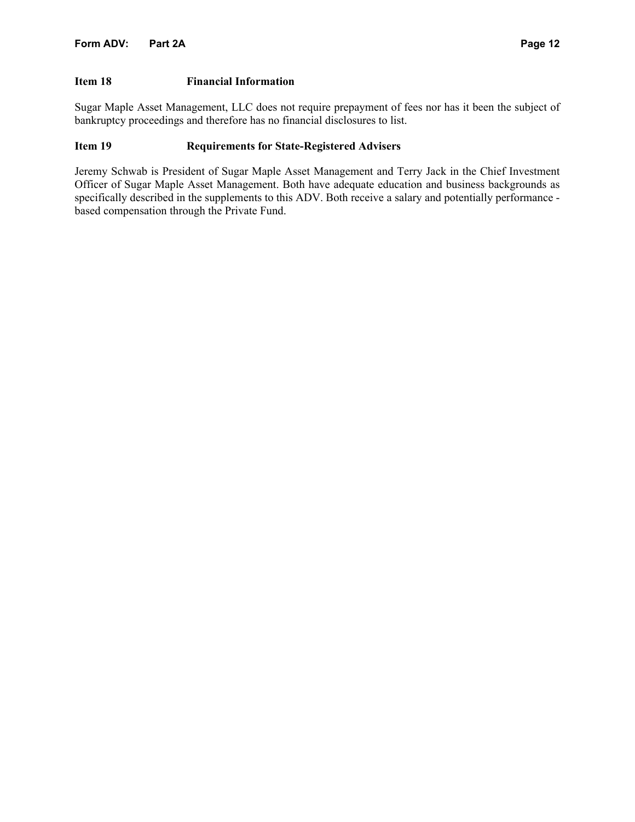### **Item 18 Financial Information**

Sugar Maple Asset Management, LLC does not require prepayment of fees nor has it been the subject of bankruptcy proceedings and therefore has no financial disclosures to list.

# **Item 19 Requirements for State-Registered Advisers**

Jeremy Schwab is President of Sugar Maple Asset Management and Terry Jack in the Chief Investment Officer of Sugar Maple Asset Management. Both have adequate education and business backgrounds as specifically described in the supplements to this ADV. Both receive a salary and potentially performance based compensation through the Private Fund.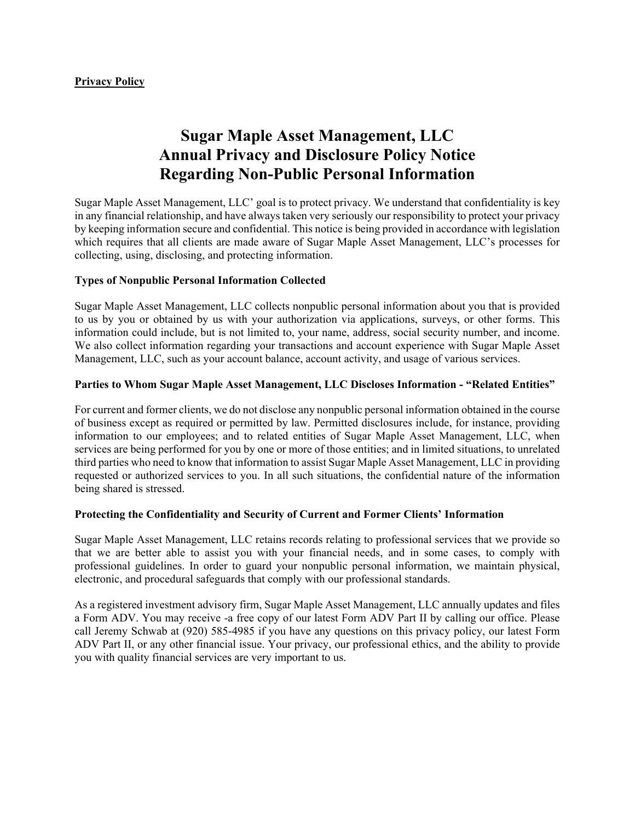# **Sugar Maple Asset Management, LLC Annual Privacy and Disclosure Policy Notice Regarding Non-Public Personal Information**

Sugar Maple Asset Management, LLC' goal is to protect privacy. We understand that confidentiality is key in any financial relationship, and have always taken very seriously our responsibility to protect your privacy by keeping information secure and confidential. This notice is being provided in accordance with legislation which requires that all clients are made aware of Sugar Maple Asset Management, LLC's processes for collecting, using, disclosing, and protecting information.

### **Types of Nonpublic Personal Information Collected**

Sugar Maple Asset Management, LLC collects nonpublic personal information about you that is provided to us by you or obtained by us with your authorization via applications, surveys, or other forms. This information could include, but is not limited to, your name, address, social security number, and income. We also collect information regarding your transactions and account experience with Sugar Maple Asset Management, LLC, such as your account balance, account activity, and usage of various services.

### **Parties to Whom Sugar Maple Asset Management, LLC Discloses Information - "Related Entities"**

For current and former clients, we do not disclose any nonpublic personal information obtained in the course of business except as required or permitted by law. Permitted disclosures include, for instance, providing information to our employees; and to related entities of Sugar Maple Asset Management, LLC, when services are being performed for you by one or more of those entities; and in limited situations, to unrelated third parties who need to know that information to assist Sugar Maple Asset Management, LLC in providing requested or authorized services to you. In all such situations, the confidential nature of the information being shared is stressed.

### **Protecting the Confidentiality and Security of Current and Former Clients' Information**

Sugar Maple Asset Management, LLC retains records relating to professional services that we provide so that we are better able to assist you with your financial needs, and in some cases, to comply with professional guidelines. In order to guard your nonpublic personal information, we maintain physical, electronic, and procedural safeguards that comply with our professional standards.

As a registered investment advisory firm, Sugar Maple Asset Management, LLC annually updates and files a Form ADV. You may receive -a free copy of our latest Form ADV Part II by calling our office. Please call Jeremy Schwab at (920) 585-4985 if you have any questions on this privacy policy, our latest Form ADV Part II, or any other financial issue. Your privacy, our professional ethics, and the ability to provide you with quality financial services are very important to us.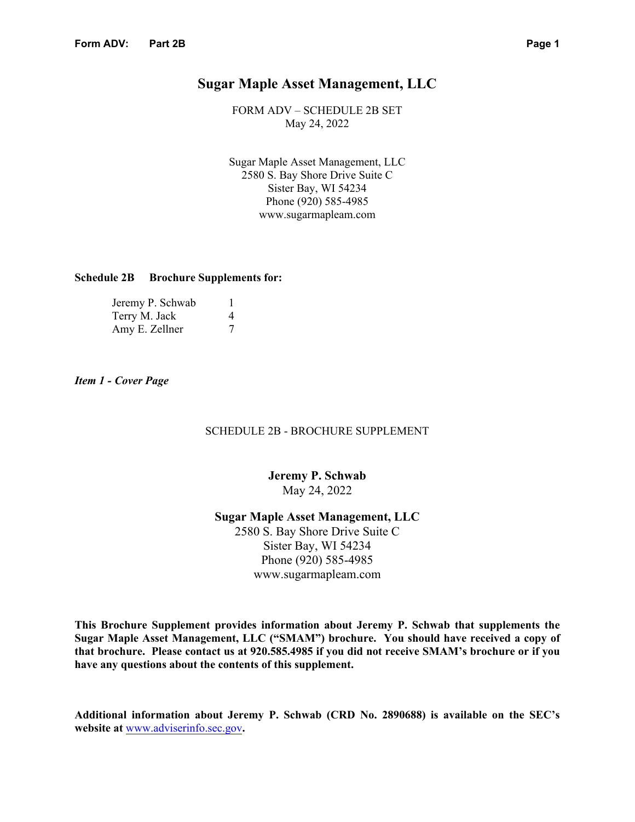# **Sugar Maple Asset Management, LLC**

FORM ADV – SCHEDULE 2B SET May 24, 2022

Sugar Maple Asset Management, LLC 2580 S. Bay Shore Drive Suite C Sister Bay, WI 54234 Phone (920) 585-4985 www.sugarmapleam.com

### **Schedule 2B Brochure Supplements for:**

| Jeremy P. Schwab |   |
|------------------|---|
| Terry M. Jack    | 4 |
| Amy E. Zellner   |   |

*Item 1 - Cover Page*

### SCHEDULE 2B - BROCHURE SUPPLEMENT

# **Jeremy P. Schwab**  May 24, 2022

**Sugar Maple Asset Management, LLC** 2580 S. Bay Shore Drive Suite C Sister Bay, WI 54234 Phone (920) 585-4985 www.sugarmapleam.com

**This Brochure Supplement provides information about Jeremy P. Schwab that supplements the Sugar Maple Asset Management, LLC ("SMAM") brochure. You should have received a copy of that brochure. Please contact us at 920.585.4985 if you did not receive SMAM's brochure or if you have any questions about the contents of this supplement.** 

**Additional information about Jeremy P. Schwab (CRD No. 2890688) is available on the SEC's website at** www.adviserinfo.sec.gov**.**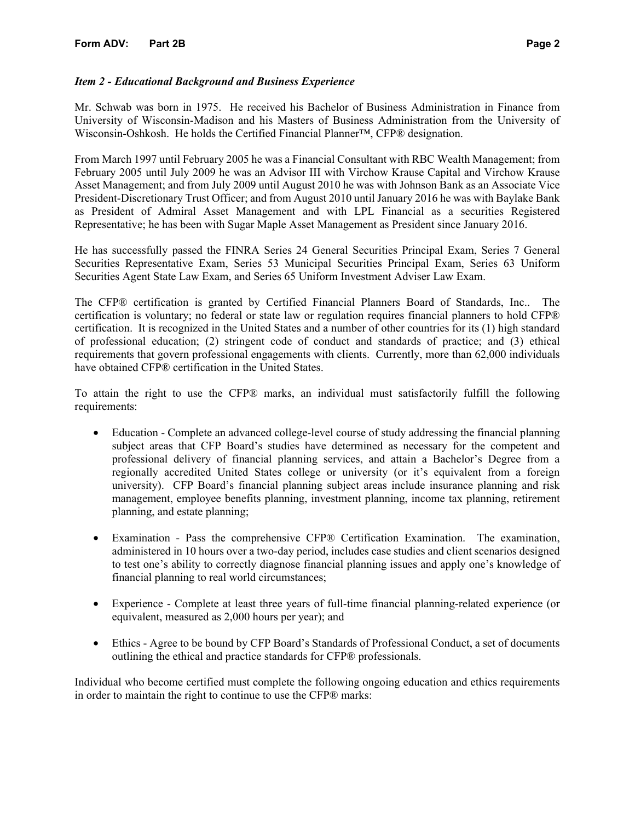### *Item 2 - Educational Background and Business Experience*

Mr. Schwab was born in 1975. He received his Bachelor of Business Administration in Finance from University of Wisconsin-Madison and his Masters of Business Administration from the University of Wisconsin-Oshkosh. He holds the Certified Financial Planner™, CFP® designation.

From March 1997 until February 2005 he was a Financial Consultant with RBC Wealth Management; from February 2005 until July 2009 he was an Advisor III with Virchow Krause Capital and Virchow Krause Asset Management; and from July 2009 until August 2010 he was with Johnson Bank as an Associate Vice President-Discretionary Trust Officer; and from August 2010 until January 2016 he was with Baylake Bank as President of Admiral Asset Management and with LPL Financial as a securities Registered Representative; he has been with Sugar Maple Asset Management as President since January 2016.

He has successfully passed the FINRA Series 24 General Securities Principal Exam, Series 7 General Securities Representative Exam, Series 53 Municipal Securities Principal Exam, Series 63 Uniform Securities Agent State Law Exam, and Series 65 Uniform Investment Adviser Law Exam.

The CFP® certification is granted by Certified Financial Planners Board of Standards, Inc.. The certification is voluntary; no federal or state law or regulation requires financial planners to hold CFP® certification. It is recognized in the United States and a number of other countries for its (1) high standard of professional education; (2) stringent code of conduct and standards of practice; and (3) ethical requirements that govern professional engagements with clients. Currently, more than 62,000 individuals have obtained CFP® certification in the United States.

To attain the right to use the CFP® marks, an individual must satisfactorily fulfill the following requirements:

- Education Complete an advanced college-level course of study addressing the financial planning subject areas that CFP Board's studies have determined as necessary for the competent and professional delivery of financial planning services, and attain a Bachelor's Degree from a regionally accredited United States college or university (or it's equivalent from a foreign university). CFP Board's financial planning subject areas include insurance planning and risk management, employee benefits planning, investment planning, income tax planning, retirement planning, and estate planning;
- Examination Pass the comprehensive CFP® Certification Examination. The examination, administered in 10 hours over a two-day period, includes case studies and client scenarios designed to test one's ability to correctly diagnose financial planning issues and apply one's knowledge of financial planning to real world circumstances;
- Experience Complete at least three years of full-time financial planning-related experience (or equivalent, measured as 2,000 hours per year); and
- Ethics Agree to be bound by CFP Board's Standards of Professional Conduct, a set of documents outlining the ethical and practice standards for CFP® professionals.

Individual who become certified must complete the following ongoing education and ethics requirements in order to maintain the right to continue to use the CFP® marks: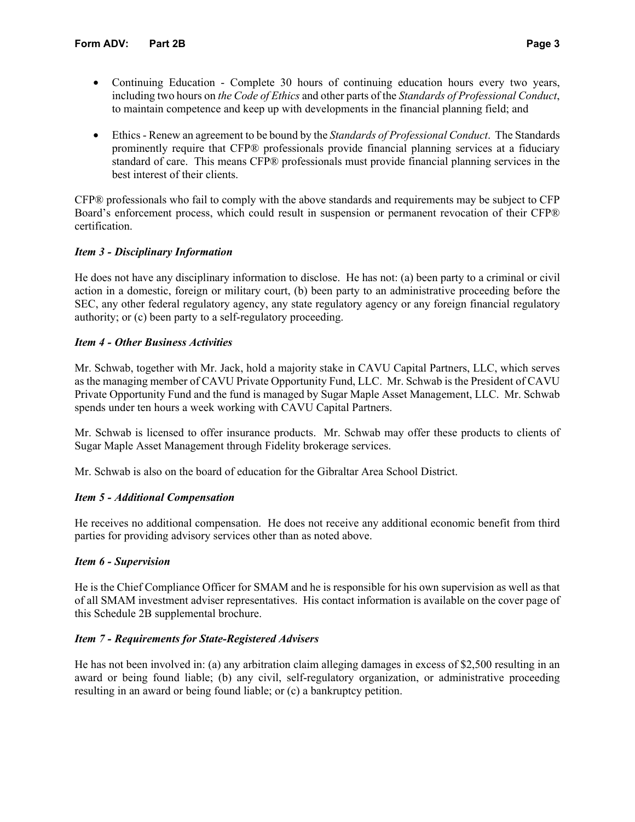- Continuing Education Complete 30 hours of continuing education hours every two years, including two hours on *the Code of Ethics* and other parts of the *Standards of Professional Conduct*, to maintain competence and keep up with developments in the financial planning field; and
- Ethics Renew an agreement to be bound by the *Standards of Professional Conduct*. The Standards prominently require that CFP® professionals provide financial planning services at a fiduciary standard of care. This means CFP® professionals must provide financial planning services in the best interest of their clients.

CFP® professionals who fail to comply with the above standards and requirements may be subject to CFP Board's enforcement process, which could result in suspension or permanent revocation of their CFP® certification.

# *Item 3 - Disciplinary Information*

He does not have any disciplinary information to disclose. He has not: (a) been party to a criminal or civil action in a domestic, foreign or military court, (b) been party to an administrative proceeding before the SEC, any other federal regulatory agency, any state regulatory agency or any foreign financial regulatory authority; or (c) been party to a self-regulatory proceeding.

### *Item 4 - Other Business Activities*

Mr. Schwab, together with Mr. Jack, hold a majority stake in CAVU Capital Partners, LLC, which serves as the managing member of CAVU Private Opportunity Fund, LLC. Mr. Schwab is the President of CAVU Private Opportunity Fund and the fund is managed by Sugar Maple Asset Management, LLC. Mr. Schwab spends under ten hours a week working with CAVU Capital Partners.

Mr. Schwab is licensed to offer insurance products. Mr. Schwab may offer these products to clients of Sugar Maple Asset Management through Fidelity brokerage services.

Mr. Schwab is also on the board of education for the Gibraltar Area School District.

### *Item 5 - Additional Compensation*

He receives no additional compensation. He does not receive any additional economic benefit from third parties for providing advisory services other than as noted above.

### *Item 6 - Supervision*

He is the Chief Compliance Officer for SMAM and he is responsible for his own supervision as well as that of all SMAM investment adviser representatives. His contact information is available on the cover page of this Schedule 2B supplemental brochure.

### *Item 7 - Requirements for State-Registered Advisers*

He has not been involved in: (a) any arbitration claim alleging damages in excess of \$2,500 resulting in an award or being found liable; (b) any civil, self-regulatory organization, or administrative proceeding resulting in an award or being found liable; or (c) a bankruptcy petition.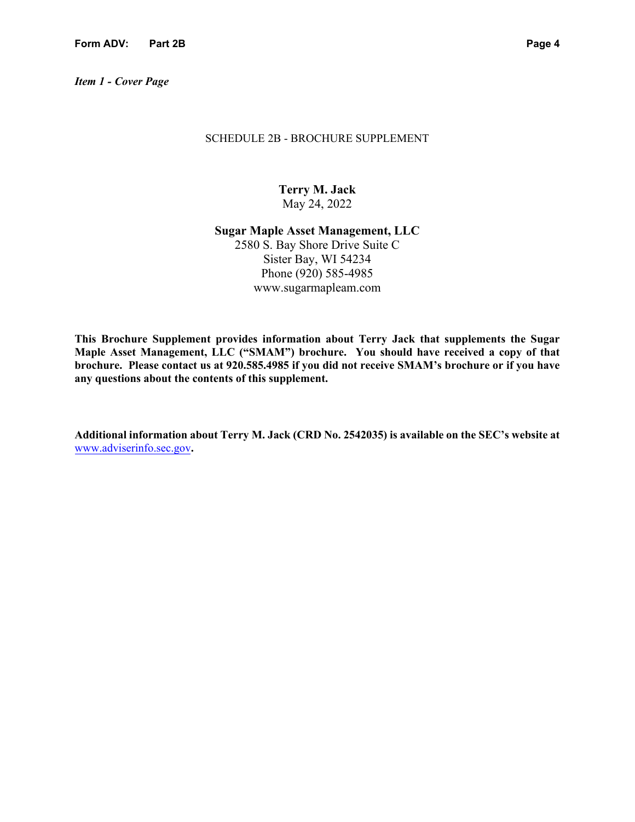*Item 1 - Cover Page* 

### SCHEDULE 2B - BROCHURE SUPPLEMENT

**Terry M. Jack**  May 24, 2022

**Sugar Maple Asset Management, LLC** 2580 S. Bay Shore Drive Suite C Sister Bay, WI 54234 Phone (920) 585-4985 www.sugarmapleam.com

**This Brochure Supplement provides information about Terry Jack that supplements the Sugar Maple Asset Management, LLC ("SMAM") brochure. You should have received a copy of that brochure. Please contact us at 920.585.4985 if you did not receive SMAM's brochure or if you have any questions about the contents of this supplement.** 

**Additional information about Terry M. Jack (CRD No. 2542035) is available on the SEC's website at** www.adviserinfo.sec.gov**.**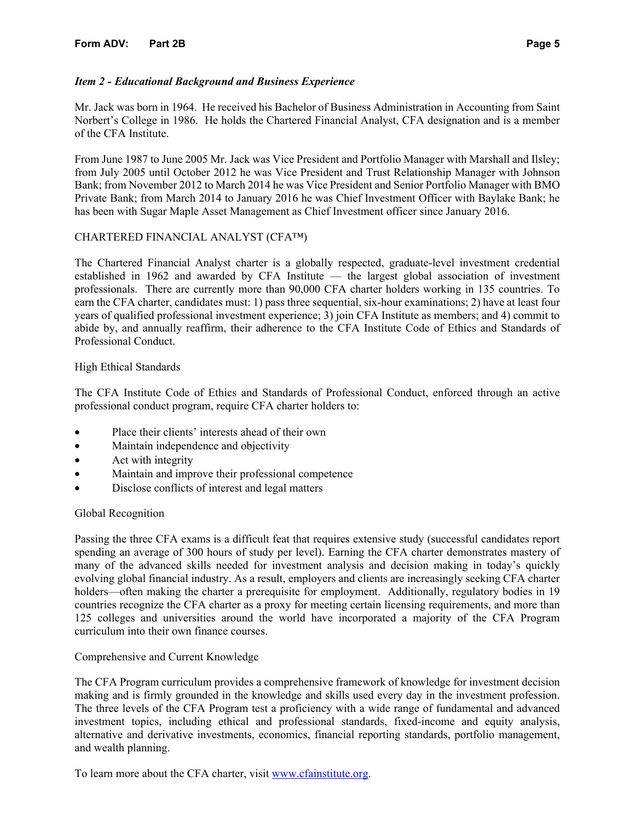# *Item 2 - Educational Background and Business Experience*

Mr. Jack was born in 1964. He received his Bachelor of Business Administration in Accounting from Saint Norbert's College in 1986. He holds the Chartered Financial Analyst, CFA designation and is a member of the CFA Institute.

From June 1987 to June 2005 Mr. Jack was Vice President and Portfolio Manager with Marshall and Ilsley; from July 2005 until October 2012 he was Vice President and Trust Relationship Manager with Johnson Bank; from November 2012 to March 2014 he was Vice President and Senior Portfolio Manager with BMO Private Bank; from March 2014 to January 2016 he was Chief Investment Officer with Baylake Bank; he has been with Sugar Maple Asset Management as Chief Investment officer since January 2016.

# CHARTERED FINANCIAL ANALYST (CFA™)

The Chartered Financial Analyst charter is a globally respected, graduate-level investment credential established in 1962 and awarded by CFA Institute — the largest global association of investment professionals. There are currently more than 90,000 CFA charter holders working in 135 countries. To earn the CFA charter, candidates must: 1) pass three sequential, six-hour examinations; 2) have at least four years of qualified professional investment experience; 3) join CFA Institute as members; and 4) commit to abide by, and annually reaffirm, their adherence to the CFA Institute Code of Ethics and Standards of Professional Conduct.

### High Ethical Standards

The CFA Institute Code of Ethics and Standards of Professional Conduct, enforced through an active professional conduct program, require CFA charter holders to:

- Place their clients' interests ahead of their own
- Maintain independence and objectivity
- Act with integrity
- Maintain and improve their professional competence
- Disclose conflicts of interest and legal matters

### Global Recognition

Passing the three CFA exams is a difficult feat that requires extensive study (successful candidates report spending an average of 300 hours of study per level). Earning the CFA charter demonstrates mastery of many of the advanced skills needed for investment analysis and decision making in today's quickly evolving global financial industry. As a result, employers and clients are increasingly seeking CFA charter holders—often making the charter a prerequisite for employment. Additionally, regulatory bodies in 19 countries recognize the CFA charter as a proxy for meeting certain licensing requirements, and more than 125 colleges and universities around the world have incorporated a majority of the CFA Program curriculum into their own finance courses.

### Comprehensive and Current Knowledge

The CFA Program curriculum provides a comprehensive framework of knowledge for investment decision making and is firmly grounded in the knowledge and skills used every day in the investment profession. The three levels of the CFA Program test a proficiency with a wide range of fundamental and advanced investment topics, including ethical and professional standards, fixed-income and equity analysis, alternative and derivative investments, economics, financial reporting standards, portfolio management, and wealth planning.

To learn more about the CFA charter, visit www.cfainstitute.org.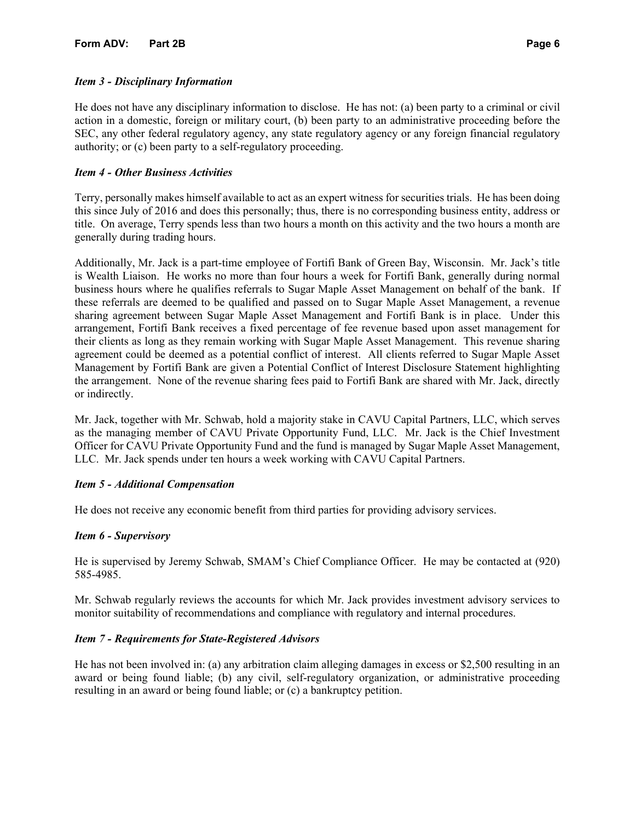# *Item 3 - Disciplinary Information*

He does not have any disciplinary information to disclose. He has not: (a) been party to a criminal or civil action in a domestic, foreign or military court, (b) been party to an administrative proceeding before the SEC, any other federal regulatory agency, any state regulatory agency or any foreign financial regulatory authority; or (c) been party to a self-regulatory proceeding.

# *Item 4 - Other Business Activities*

Terry, personally makes himself available to act as an expert witness for securities trials. He has been doing this since July of 2016 and does this personally; thus, there is no corresponding business entity, address or title. On average, Terry spends less than two hours a month on this activity and the two hours a month are generally during trading hours.

Additionally, Mr. Jack is a part-time employee of Fortifi Bank of Green Bay, Wisconsin. Mr. Jack's title is Wealth Liaison. He works no more than four hours a week for Fortifi Bank, generally during normal business hours where he qualifies referrals to Sugar Maple Asset Management on behalf of the bank. If these referrals are deemed to be qualified and passed on to Sugar Maple Asset Management, a revenue sharing agreement between Sugar Maple Asset Management and Fortifi Bank is in place. Under this arrangement, Fortifi Bank receives a fixed percentage of fee revenue based upon asset management for their clients as long as they remain working with Sugar Maple Asset Management. This revenue sharing agreement could be deemed as a potential conflict of interest. All clients referred to Sugar Maple Asset Management by Fortifi Bank are given a Potential Conflict of Interest Disclosure Statement highlighting the arrangement. None of the revenue sharing fees paid to Fortifi Bank are shared with Mr. Jack, directly or indirectly.

Mr. Jack, together with Mr. Schwab, hold a majority stake in CAVU Capital Partners, LLC, which serves as the managing member of CAVU Private Opportunity Fund, LLC. Mr. Jack is the Chief Investment Officer for CAVU Private Opportunity Fund and the fund is managed by Sugar Maple Asset Management, LLC. Mr. Jack spends under ten hours a week working with CAVU Capital Partners.

### *Item 5 - Additional Compensation*

He does not receive any economic benefit from third parties for providing advisory services.

### *Item 6 - Supervisory*

He is supervised by Jeremy Schwab, SMAM's Chief Compliance Officer. He may be contacted at (920) 585-4985.

Mr. Schwab regularly reviews the accounts for which Mr. Jack provides investment advisory services to monitor suitability of recommendations and compliance with regulatory and internal procedures.

### *Item 7 - Requirements for State-Registered Advisors*

He has not been involved in: (a) any arbitration claim alleging damages in excess or \$2,500 resulting in an award or being found liable; (b) any civil, self-regulatory organization, or administrative proceeding resulting in an award or being found liable; or (c) a bankruptcy petition.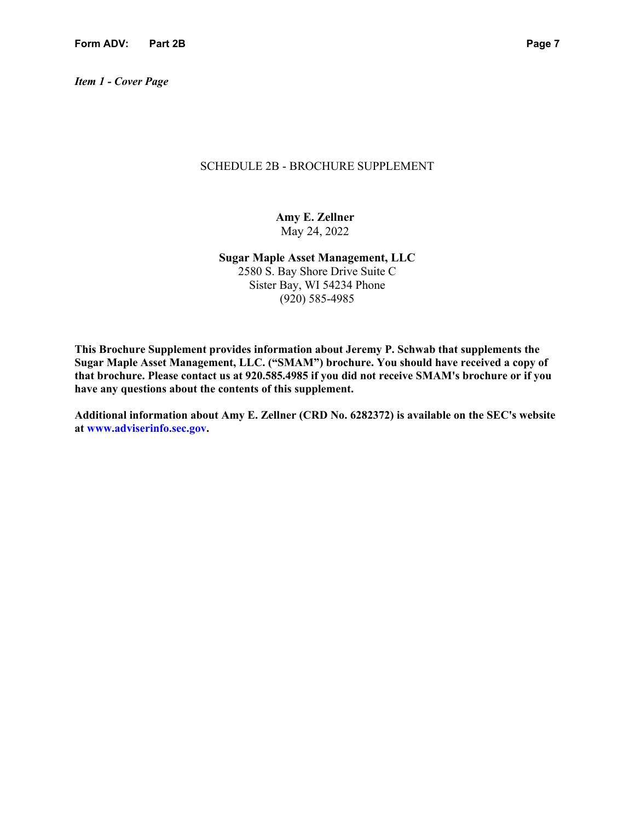*Item 1 - Cover Page* 

### SCHEDULE 2B - BROCHURE SUPPLEMENT

**Amy E. Zellner**  May 24, 2022

**Sugar Maple Asset Management, LLC**  2580 S. Bay Shore Drive Suite C Sister Bay, WI 54234 Phone (920) 585-4985

**This Brochure Supplement provides information about Jeremy P. Schwab that supplements the Sugar Maple Asset Management, LLC. ("SMAM") brochure. You should have received a copy of that brochure. Please contact us at 920.585.4985 if you did not receive SMAM's brochure or if you have any questions about the contents of this supplement.**

**Additional information about Amy E. Zellner (CRD No. 6282372) is available on the SEC's website at www.adviserinfo.sec.gov.**